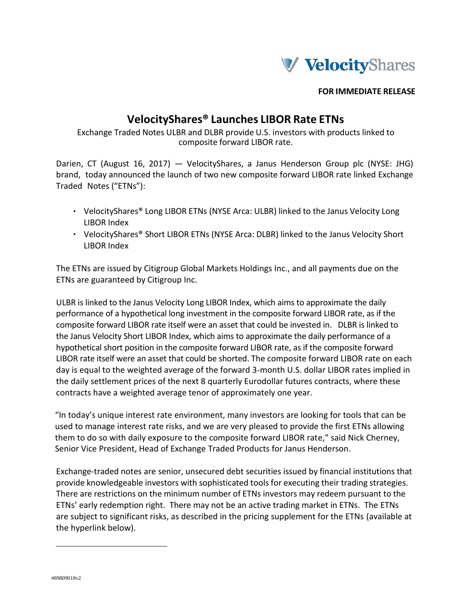

**FOR IMMEDIATE RELEASE**

## **VelocityShares® Launches LIBOR Rate ETNs**

Exchange Traded Notes ULBR and DLBR provide U.S. investors with products linked to composite forward LIBOR rate.

Darien, CT (August 16, 2017) — VelocityShares, a Janus Henderson Group plc (NYSE: JHG) brand, today announced the launch of two new composite forward LIBOR rate linked Exchange Traded Notes ("ETNs"):

- VelocityShares® Long LIBOR ETNs (NYSE Arca: ULBR) linked to the Janus Velocity Long LIBOR Index
- VelocityShares® Short LIBOR ETNs (NYSE Arca: DLBR) linked to the Janus Velocity Short LIBOR Index

The ETNs are issued by Citigroup Global Markets Holdings Inc., and all payments due on the ETNs are guaranteed by Citigroup Inc.

ULBR is linked to the Janus Velocity Long LIBOR Index, which aims to approximate the daily performance of a hypothetical long investment in the composite forward LIBOR rate, as if the composite forward LIBOR rate itself were an asset that could be invested in. DLBR is linked to the Janus Velocity Short LIBOR Index, which aims to approximate the daily performance of a hypothetical short position in the composite forward LIBOR rate, as if the composite forward LIBOR rate itself were an asset that could be shorted. The composite forward LIBOR rate on each day is equal to the weighted average of the forward 3-month U.S. dollar LIBOR rates implied in the daily settlement prices of the next 8 quarterly Eurodollar futures contracts, where these contracts have a weighted average tenor of approximately one year.

"In today's unique interest rate environment, many investors are looking for tools that can be used to manage interest rate risks, and we are very pleased to provide the first ETNs allowing them to do so with daily exposure to the composite forward LIBOR rate," said Nick Cherney, Senior Vice President, Head of Exchange Traded Products for Janus Henderson.

Exchange‐traded notes are senior, unsecured debt securities issued by financial institutions that provide knowledgeable investors with sophisticated toolsfor executing their trading strategies. There are restrictions on the minimum number of ETNs investors may redeem pursuant to the ETNs' early redemption right. There may not be an active trading market in ETNs. The ETNs are subject to significant risks, as described in the pricing supplement for the ETNs (available at the hyperlink below).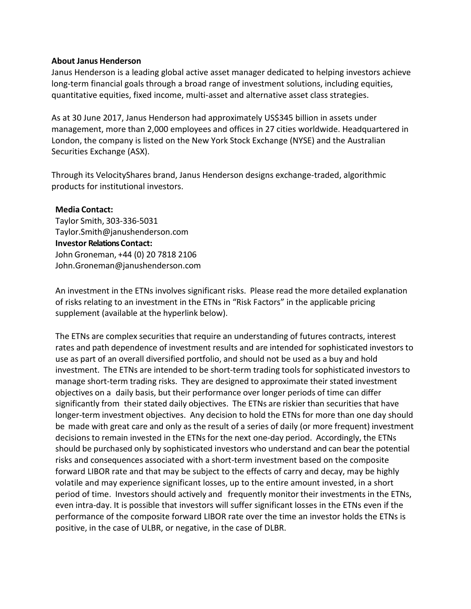## **About Janus Henderson**

Janus Henderson is a leading global active asset manager dedicated to helping investors achieve long-term financial goals through a broad range of investment solutions, including equities, quantitative equities, fixed income, multi-asset and alternative asset class strategies.

As at 30 June 2017, Janus Henderson had approximately US\$345 billion in assets under management, more than 2,000 employees and offices in 27 cities worldwide. Headquartered in London, the company is listed on the New York Stock Exchange (NYSE) and the Australian Securities Exchange (ASX).

Through its VelocityShares brand, Janus Henderson designs exchange-traded, algorithmic products for institutional investors.

## **Media Contact:**

Taylor Smith, 303-336-5031 Taylor.Smith@janushenderson.com **Investor Relations Contact:** John Groneman, +44 (0) 20 7818 2106 John.Groneman@janushenderson.com

An investment in the ETNs involves significant risks. Please read the more detailed explanation of risks relating to an investment in the ETNs in "Risk Factors" in the applicable pricing supplement (available at the hyperlink below).

The ETNs are complex securities that require an understanding of futures contracts, interest rates and path dependence of investment results and are intended for sophisticated investors to use as part of an overall diversified portfolio, and should not be used as a buy and hold investment. The ETNs are intended to be short-term trading tools for sophisticated investors to manage short-term trading risks. They are designed to approximate their stated investment objectives on a daily basis, but their performance over longer periods of time can differ significantly from their stated daily objectives. The ETNs are riskier than securities that have longer-term investment objectives. Any decision to hold the ETNs for more than one day should be made with great care and only as the result of a series of daily (or more frequent) investment decisions to remain invested in the ETNs for the next one-day period. Accordingly, the ETNs should be purchased only by sophisticated investors who understand and can bear the potential risks and consequences associated with a short-term investment based on the composite forward LIBOR rate and that may be subject to the effects of carry and decay, may be highly volatile and may experience significant losses, up to the entire amount invested, in a short period of time. Investors should actively and frequently monitor their investments in the ETNs, even intra-day. It is possible that investors will suffer significant losses in the ETNs even if the performance of the composite forward LIBOR rate over the time an investor holds the ETNs is positive, in the case of ULBR, or negative, in the case of DLBR.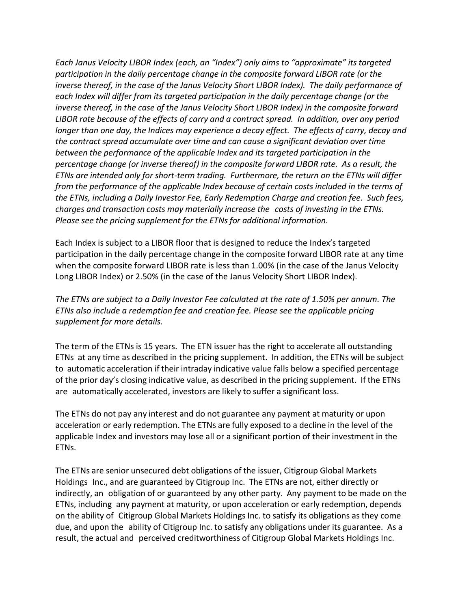*Each Janus Velocity LIBOR Index (each, an "Index") only aims to "approximate" its targeted participation in the daily percentage change in the composite forward LIBOR rate (or the inverse thereof, in the case of the Janus Velocity Short LIBOR Index). The daily performance of each Index will differ from its targeted participation in the daily percentage change (or the inverse thereof, in the case of the Janus Velocity Short LIBOR Index) in the composite forward LIBOR rate because of the effects of carry and a contract spread. In addition, over any period longer than one day, the Indices may experience a decay effect. The effects of carry, decay and the contract spread accumulate over time and can cause a significant deviation over time between the performance of the applicable Index and its targeted participation in the percentage change (or inverse thereof) in the composite forward LIBOR rate. As a result, the ETNs are intended only for short-term trading. Furthermore, the return on the ETNs will differ from the performance of the applicable Index because of certain costs included in the terms of the ETNs, including a Daily Investor Fee, Early Redemption Charge and creation fee. Such fees, charges and transaction costs may materially increase the costs of investing in the ETNs. Please see the pricing supplement for the ETNsfor additional information.*

Each Index is subject to a LIBOR floor that is designed to reduce the Index's targeted participation in the daily percentage change in the composite forward LIBOR rate at any time when the composite forward LIBOR rate is less than 1.00% (in the case of the Janus Velocity Long LIBOR Index) or 2.50% (in the case of the Janus Velocity Short LIBOR Index).

*The ETNs are subject to a Daily Investor Fee calculated at the rate of 1.50% per annum. The ETNs also include a redemption fee and creation fee. Please see the applicable pricing supplement for more details.*

The term of the ETNs is 15 years. The ETN issuer has the right to accelerate all outstanding ETNs at any time as described in the pricing supplement. In addition, the ETNs will be subject to automatic acceleration if their intraday indicative value falls below a specified percentage of the prior day's closing indicative value, as described in the pricing supplement. If the ETNs are automatically accelerated, investors are likely to suffer a significant loss.

The ETNs do not pay any interest and do not guarantee any payment at maturity or upon acceleration or early redemption. The ETNs are fully exposed to a decline in the level of the applicable Index and investors may lose all or a significant portion of their investment in the ETNs.

The ETNs are senior unsecured debt obligations of the issuer, Citigroup Global Markets Holdings Inc., and are guaranteed by Citigroup Inc. The ETNs are not, either directly or indirectly, an obligation of or guaranteed by any other party. Any payment to be made on the ETNs, including any payment at maturity, or upon acceleration or early redemption, depends on the ability of Citigroup Global Markets Holdings Inc. to satisfy its obligations as they come due, and upon the ability of Citigroup Inc. to satisfy any obligations under its guarantee. As a result, the actual and perceived creditworthiness of Citigroup Global Markets Holdings Inc.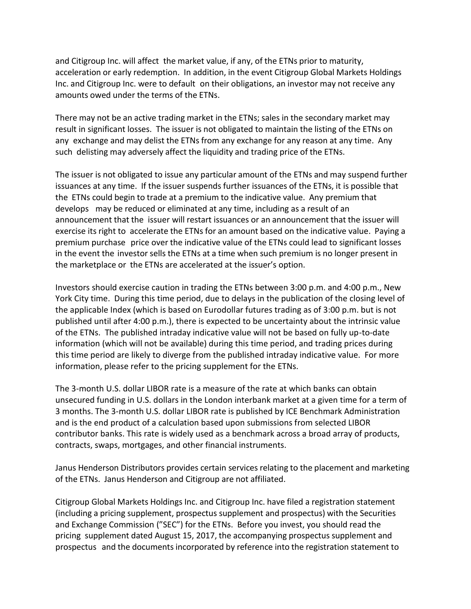and Citigroup Inc. will affect the market value, if any, of the ETNs prior to maturity, acceleration or early redemption. In addition, in the event Citigroup Global Markets Holdings Inc. and Citigroup Inc. were to default on their obligations, an investor may not receive any amounts owed under the terms of the ETNs.

There may not be an active trading market in the ETNs; sales in the secondary market may result in significant losses. The issuer is not obligated to maintain the listing of the ETNs on any exchange and may delist the ETNs from any exchange for any reason at any time. Any such delisting may adversely affect the liquidity and trading price of the ETNs.

The issuer is not obligated to issue any particular amount of the ETNs and may suspend further issuances at any time. If the issuer suspends further issuances of the ETNs, it is possible that the ETNs could begin to trade at a premium to the indicative value. Any premium that develops may be reduced or eliminated at any time, including as a result of an announcement that the issuer will restart issuances or an announcement that the issuer will exercise its right to accelerate the ETNs for an amount based on the indicative value. Paying a premium purchase price over the indicative value of the ETNs could lead to significant losses in the event the investor sells the ETNs at a time when such premium is no longer present in the marketplace or the ETNs are accelerated at the issuer's option.

Investors should exercise caution in trading the ETNs between 3:00 p.m. and 4:00 p.m., New York City time. During this time period, due to delays in the publication of the closing level of the applicable Index (which is based on Eurodollar futures trading as of 3:00 p.m. but is not published until after 4:00 p.m.), there is expected to be uncertainty about the intrinsic value of the ETNs. The published intraday indicative value will not be based on fully up-to-date information (which will not be available) during this time period, and trading prices during this time period are likely to diverge from the published intraday indicative value. For more information, please refer to the pricing supplement for the ETNs.

The 3-month U.S. dollar LIBOR rate is a measure of the rate at which banks can obtain unsecured funding in U.S. dollars in the London interbank market at a given time for a term of 3 months. The 3-month U.S. dollar LIBOR rate is published by ICE Benchmark Administration and is the end product of a calculation based upon submissions from selected LIBOR contributor banks. This rate is widely used as a benchmark across a broad array of products, contracts, swaps, mortgages, and other financial instruments.

Janus Henderson Distributors provides certain services relating to the placement and marketing of the ETNs. Janus Henderson and Citigroup are not affiliated.

Citigroup Global Markets Holdings Inc. and Citigroup Inc. have filed a registration statement (including a pricing supplement, prospectus supplement and prospectus) with the Securities and Exchange Commission ("SEC") for the ETNs. Before you invest, you should read the pricing supplement dated August 15, 2017, the accompanying prospectus supplement and prospectus and the documentsincorporated by reference into the registration statement to